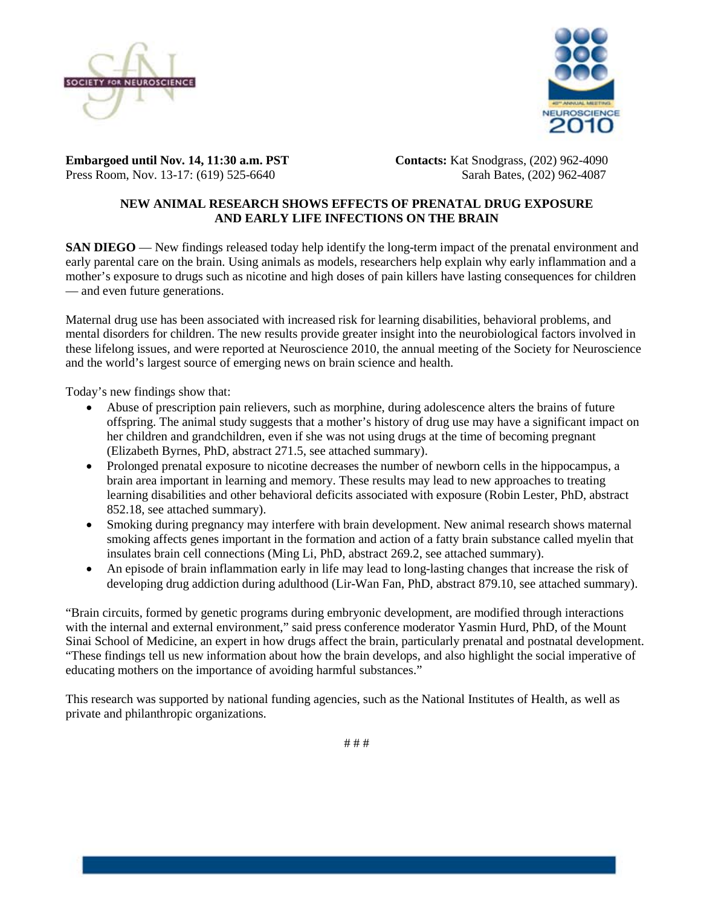



**Embargoed until Nov. 14, 11:30 a.m. PST Contacts:** Kat Snodgrass, (202) 962-4090 Press Room, Nov. 13-17: (619) 525-6640Sarah Bates, (202) 962-4087

## **NEW ANIMAL RESEARCH SHOWS EFFECTS OF PRENATAL DRUG EXPOSURE AND EARLY LIFE INFECTIONS ON THE BRAIN**

**SAN DIEGO** — New findings released today help identify the long-term impact of the prenatal environment and early parental care on the brain. Using animals as models, researchers help explain why early inflammation and a mother's exposure to drugs such as nicotine and high doses of pain killers have lasting consequences for children — and even future generations.

Maternal drug use has been associated with increased risk for learning disabilities, behavioral problems, and mental disorders for children. The new results provide greater insight into the neurobiological factors involved in these lifelong issues, and were reported at Neuroscience 2010, the annual meeting of the Society for Neuroscience and the world's largest source of emerging news on brain science and health.

Today's new findings show that:

- Abuse of prescription pain relievers, such as morphine, during adolescence alters the brains of future offspring. The animal study suggests that a mother's history of drug use may have a significant impact on her children and grandchildren, even if she was not using drugs at the time of becoming pregnant (Elizabeth Byrnes, PhD, abstract 271.5, see attached summary).
- Prolonged prenatal exposure to nicotine decreases the number of newborn cells in the hippocampus, a brain area important in learning and memory. These results may lead to new approaches to treating learning disabilities and other behavioral deficits associated with exposure (Robin Lester, PhD, abstract 852.18, see attached summary).
- Smoking during pregnancy may interfere with brain development. New animal research shows maternal smoking affects genes important in the formation and action of a fatty brain substance called myelin that insulates brain cell connections (Ming Li, PhD, abstract 269.2, see attached summary).
- An episode of brain inflammation early in life may lead to long-lasting changes that increase the risk of developing drug addiction during adulthood (Lir-Wan Fan, PhD, abstract 879.10, see attached summary).

"Brain circuits, formed by genetic programs during embryonic development, are modified through interactions with the internal and external environment," said press conference moderator Yasmin Hurd, PhD, of the Mount Sinai School of Medicine, an expert in how drugs affect the brain, particularly prenatal and postnatal development. "These findings tell us new information about how the brain develops, and also highlight the social imperative of educating mothers on the importance of avoiding harmful substances."

This research was supported by national funding agencies, such as the National Institutes of Health, as well as private and philanthropic organizations.

# # #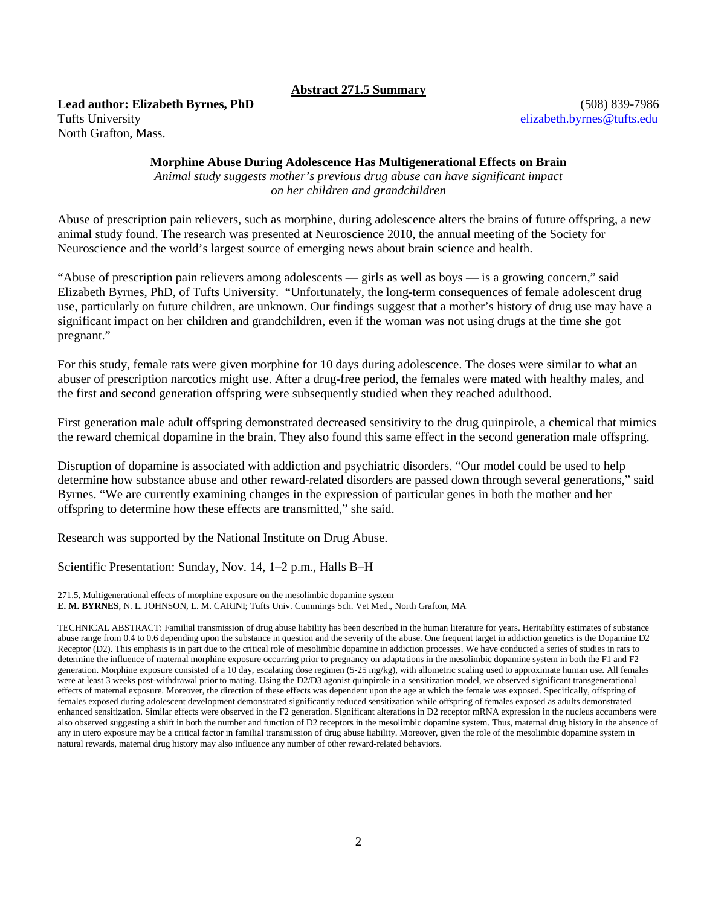### **Abstract 271.5 Summary**

**Lead author: Elizabeth Byrnes, PhD** (508) 839-7986 Tufts University [elizabeth.byrnes@tufts.edu](mailto:elizabeth.byrnes@tufts.edu) North Grafton, Mass.

### **Morphine Abuse During Adolescence Has Multigenerational Effects on Brain**

*Animal study suggests mother's previous drug abuse can have significant impact on her children and grandchildren* 

Abuse of prescription pain relievers, such as morphine, during adolescence alters the brains of future offspring, a new animal study found. The research was presented at Neuroscience 2010, the annual meeting of the Society for Neuroscience and the world's largest source of emerging news about brain science and health.

"Abuse of prescription pain relievers among adolescents — girls as well as boys — is a growing concern," said Elizabeth Byrnes, PhD, of Tufts University. "Unfortunately, the long-term consequences of female adolescent drug use, particularly on future children, are unknown. Our findings suggest that a mother's history of drug use may have a significant impact on her children and grandchildren, even if the woman was not using drugs at the time she got pregnant."

For this study, female rats were given morphine for 10 days during adolescence. The doses were similar to what an abuser of prescription narcotics might use. After a drug-free period, the females were mated with healthy males, and the first and second generation offspring were subsequently studied when they reached adulthood.

First generation male adult offspring demonstrated decreased sensitivity to the drug quinpirole, a chemical that mimics the reward chemical dopamine in the brain. They also found this same effect in the second generation male offspring.

Disruption of dopamine is associated with addiction and psychiatric disorders. "Our model could be used to help determine how substance abuse and other reward-related disorders are passed down through several generations," said Byrnes. "We are currently examining changes in the expression of particular genes in both the mother and her offspring to determine how these effects are transmitted," she said.

Research was supported by the National Institute on Drug Abuse.

Scientific Presentation: Sunday, Nov. 14, 1–2 p.m., Halls B–H

271.5, Multigenerational effects of morphine exposure on the mesolimbic dopamine system **E. M. BYRNES**, N. L. JOHNSON, L. M. CARINI; Tufts Univ. Cummings Sch. Vet Med., North Grafton, MA

TECHNICAL ABSTRACT: Familial transmission of drug abuse liability has been described in the human literature for years. Heritability estimates of substance abuse range from 0.4 to 0.6 depending upon the substance in question and the severity of the abuse. One frequent target in addiction genetics is the Dopamine D2 Receptor (D2). This emphasis is in part due to the critical role of mesolimbic dopamine in addiction processes. We have conducted a series of studies in rats to determine the influence of maternal morphine exposure occurring prior to pregnancy on adaptations in the mesolimbic dopamine system in both the F1 and F2 generation. Morphine exposure consisted of a 10 day, escalating dose regimen (5-25 mg/kg), with allometric scaling used to approximate human use. All females were at least 3 weeks post-withdrawal prior to mating. Using the D2/D3 agonist quinpirole in a sensitization model, we observed significant transgenerational effects of maternal exposure. Moreover, the direction of these effects was dependent upon the age at which the female was exposed. Specifically, offspring of females exposed during adolescent development demonstrated significantly reduced sensitization while offspring of females exposed as adults demonstrated enhanced sensitization. Similar effects were observed in the F2 generation. Significant alterations in D2 receptor mRNA expression in the nucleus accumbens were also observed suggesting a shift in both the number and function of D2 receptors in the mesolimbic dopamine system. Thus, maternal drug history in the absence of any in utero exposure may be a critical factor in familial transmission of drug abuse liability. Moreover, given the role of the mesolimbic dopamine system in natural rewards, maternal drug history may also influence any number of other reward-related behaviors.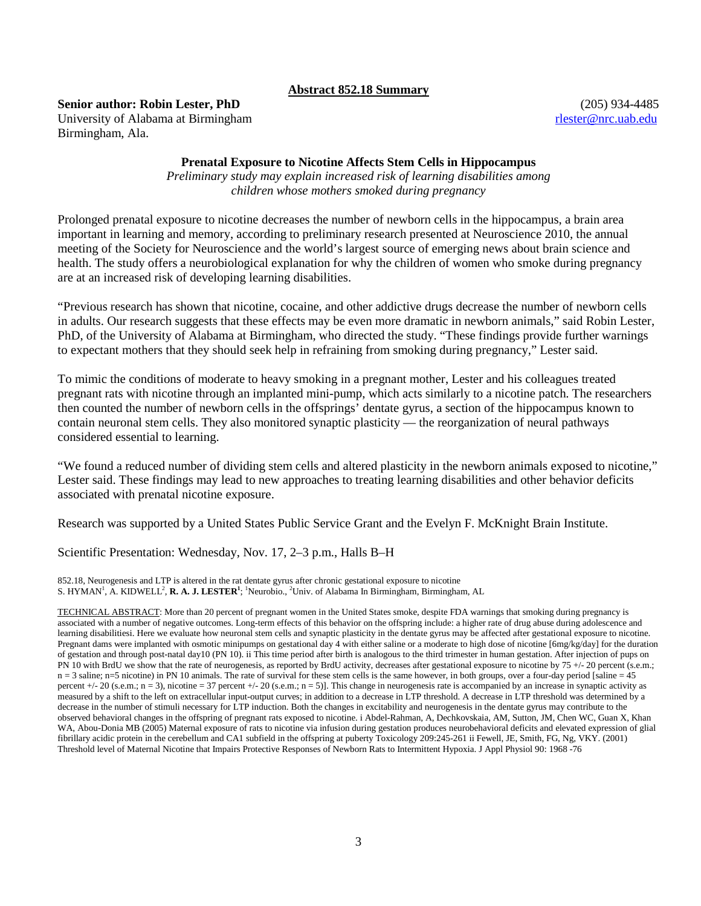### **Abstract 852.18 Summary**

### **Senior author: Robin Lester, PhD** (205) 934-4485

University of Alabama at Birmingham rlester and the state of the state of the state of the state of the state of the state of the state of the state of the state of the state of the state of the state of the state of the s Birmingham, Ala.

### **Prenatal Exposure to Nicotine Affects Stem Cells in Hippocampus**

*Preliminary study may explain increased risk of learning disabilities among children whose mothers smoked during pregnancy* 

Prolonged prenatal exposure to nicotine decreases the number of newborn cells in the hippocampus, a brain area important in learning and memory, according to preliminary research presented at Neuroscience 2010, the annual meeting of the Society for Neuroscience and the world's largest source of emerging news about brain science and health. The study offers a neurobiological explanation for why the children of women who smoke during pregnancy are at an increased risk of developing learning disabilities.

"Previous research has shown that nicotine, cocaine, and other addictive drugs decrease the number of newborn cells in adults. Our research suggests that these effects may be even more dramatic in newborn animals," said Robin Lester, PhD, of the University of Alabama at Birmingham, who directed the study. "These findings provide further warnings to expectant mothers that they should seek help in refraining from smoking during pregnancy," Lester said.

To mimic the conditions of moderate to heavy smoking in a pregnant mother, Lester and his colleagues treated pregnant rats with nicotine through an implanted mini-pump, which acts similarly to a nicotine patch. The researchers then counted the number of newborn cells in the offsprings' dentate gyrus, a section of the hippocampus known to contain neuronal stem cells. They also monitored synaptic plasticity — the reorganization of neural pathways considered essential to learning.

"We found a reduced number of dividing stem cells and altered plasticity in the newborn animals exposed to nicotine," Lester said. These findings may lead to new approaches to treating learning disabilities and other behavior deficits associated with prenatal nicotine exposure.

Research was supported by a United States Public Service Grant and the Evelyn F. McKnight Brain Institute.

Scientific Presentation: Wednesday, Nov. 17, 2–3 p.m., Halls B–H

852.18, Neurogenesis and LTP is altered in the rat dentate gyrus after chronic gestational exposure to nicotine S. HYMAN<sup>1</sup>, A. KIDWELL<sup>2</sup>, **R. A. J. LESTER<sup>1</sup>**; <sup>1</sup>Neurobio., <sup>2</sup>Univ. of Alabama In Birmingham, Birmingham, AL

TECHNICAL ABSTRACT: More than 20 percent of pregnant women in the United States smoke, despite FDA warnings that smoking during pregnancy is associated with a number of negative outcomes. Long-term effects of this behavior on the offspring include: a higher rate of drug abuse during adolescence and learning disabilitiesi. Here we evaluate how neuronal stem cells and synaptic plasticity in the dentate gyrus may be affected after gestational exposure to nicotine. Pregnant dams were implanted with osmotic minipumps on gestational day 4 with either saline or a moderate to high dose of nicotine [6mg/kg/day] for the duration of gestation and through post-natal day10 (PN 10). ii This time period after birth is analogous to the third trimester in human gestation. After injection of pups on PN 10 with BrdU we show that the rate of neurogenesis, as reported by BrdU activity, decreases after gestational exposure to nicotine by 75 +/- 20 percent (s.e.m.;  $n = 3$  saline;  $n = 5$  nicotine) in PN 10 animals. The rate of survival for these stem cells is the same however, in both groups, over a four-day period [saline = 45] percent +/- 20 (s.e.m.; n = 3), nicotine = 37 percent +/- 20 (s.e.m.; n = 5)]. This change in neurogenesis rate is accompanied by an increase in synaptic activity as measured by a shift to the left on extracellular input-output curves; in addition to a decrease in LTP threshold. A decrease in LTP threshold was determined by a decrease in the number of stimuli necessary for LTP induction. Both the changes in excitability and neurogenesis in the dentate gyrus may contribute to the observed behavioral changes in the offspring of pregnant rats exposed to nicotine. i Abdel-Rahman, A, Dechkovskaia, AM, Sutton, JM, Chen WC, Guan X, Khan WA, Abou-Donia MB (2005) Maternal exposure of rats to nicotine via infusion during gestation produces neurobehavioral deficits and elevated expression of glial fibrillary acidic protein in the cerebellum and CA1 subfield in the offspring at puberty Toxicology 209:245-261 ii Fewell, JE, Smith, FG, Ng, VKY. (2001) Threshold level of Maternal Nicotine that Impairs Protective Responses of Newborn Rats to Intermittent Hypoxia. J Appl Physiol 90: 1968 -76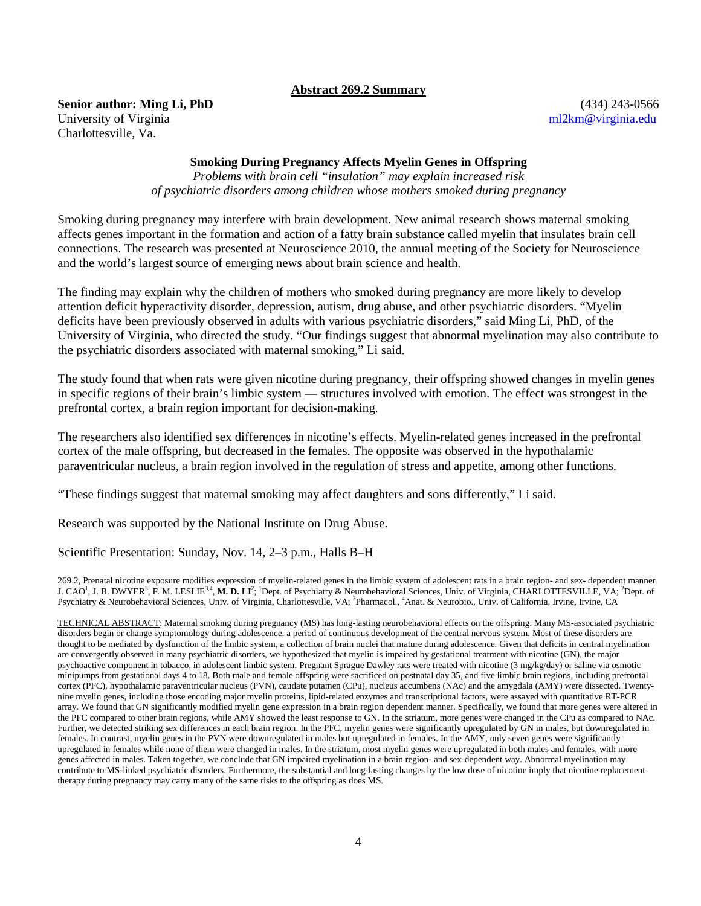#### **Abstract 269.2 Summary**

**Senior author: Ming Li, PhD** (434) 243-0566

University of Virginia method of Virginia method of Virginia.edu method of virginia.edu method of Virginia.edu Charlottesville, Va.

### **Smoking During Pregnancy Affects Myelin Genes in Offspring**

*Problems with brain cell "insulation" may explain increased risk of psychiatric disorders among children whose mothers smoked during pregnancy* 

Smoking during pregnancy may interfere with brain development. New animal research shows maternal smoking affects genes important in the formation and action of a fatty brain substance called myelin that insulates brain cell connections. The research was presented at Neuroscience 2010, the annual meeting of the Society for Neuroscience and the world's largest source of emerging news about brain science and health.

The finding may explain why the children of mothers who smoked during pregnancy are more likely to develop attention deficit hyperactivity disorder, depression, autism, drug abuse, and other psychiatric disorders. "Myelin deficits have been previously observed in adults with various psychiatric disorders," said Ming Li, PhD, of the University of Virginia, who directed the study. "Our findings suggest that abnormal myelination may also contribute to the psychiatric disorders associated with maternal smoking," Li said.

The study found that when rats were given nicotine during pregnancy, their offspring showed changes in myelin genes in specific regions of their brain's limbic system — structures involved with emotion. The effect was strongest in the prefrontal cortex, a brain region important for decision-making.

The researchers also identified sex differences in nicotine's effects. Myelin-related genes increased in the prefrontal cortex of the male offspring, but decreased in the females. The opposite was observed in the hypothalamic paraventricular nucleus, a brain region involved in the regulation of stress and appetite, among other functions.

"These findings suggest that maternal smoking may affect daughters and sons differently," Li said.

Research was supported by the National Institute on Drug Abuse.

Scientific Presentation: Sunday, Nov. 14, 2–3 p.m., Halls B–H

269.2, Prenatal nicotine exposure modifies expression of myelin-related genes in the limbic system of adolescent rats in a brain region- and sex- dependent manner J. CAO<sup>1</sup>, J. B. DWYER<sup>3</sup>, F. M. LESLIE<sup>3.4</sup>, M. D. LI<sup>2</sup>; <sup>1</sup>Dept. of Psychiatry & Neurobehavioral Sciences, Univ. of Virginia, CHARLOTTESVILLE, VA; <sup>2</sup>Dept. of Psychiatry & Neurobehavioral Sciences, Univ. of Virginia, Charlottesville, VA; <sup>3</sup>Pharmacol., <sup>4</sup>Anat. & Neurobio., Univ. of California, Irvine, Irvine, CA

TECHNICAL ABSTRACT: Maternal smoking during pregnancy (MS) has long-lasting neurobehavioral effects on the offspring. Many MS-associated psychiatric disorders begin or change symptomology during adolescence, a period of continuous development of the central nervous system. Most of these disorders are thought to be mediated by dysfunction of the limbic system, a collection of brain nuclei that mature during adolescence. Given that deficits in central myelination are convergently observed in many psychiatric disorders, we hypothesized that myelin is impaired by gestational treatment with nicotine (GN), the major psychoactive component in tobacco, in adolescent limbic system. Pregnant Sprague Dawley rats were treated with nicotine (3 mg/kg/day) or saline via osmotic minipumps from gestational days 4 to 18. Both male and female offspring were sacrificed on postnatal day 35, and five limbic brain regions, including prefrontal cortex (PFC), hypothalamic paraventricular nucleus (PVN), caudate putamen (CPu), nucleus accumbens (NAc) and the amygdala (AMY) were dissected. Twentynine myelin genes, including those encoding major myelin proteins, lipid-related enzymes and transcriptional factors, were assayed with quantitative RT-PCR array. We found that GN significantly modified myelin gene expression in a brain region dependent manner. Specifically, we found that more genes were altered in the PFC compared to other brain regions, while AMY showed the least response to GN. In the striatum, more genes were changed in the CPu as compared to NAc. Further, we detected striking sex differences in each brain region. In the PFC, myelin genes were significantly upregulated by GN in males, but downregulated in females. In contrast, myelin genes in the PVN were downregulated in males but upregulated in females. In the AMY, only seven genes were significantly upregulated in females while none of them were changed in males. In the striatum, most myelin genes were upregulated in both males and females, with more genes affected in males. Taken together, we conclude that GN impaired myelination in a brain region- and sex-dependent way. Abnormal myelination may contribute to MS-linked psychiatric disorders. Furthermore, the substantial and long-lasting changes by the low dose of nicotine imply that nicotine replacement therapy during pregnancy may carry many of the same risks to the offspring as does MS.